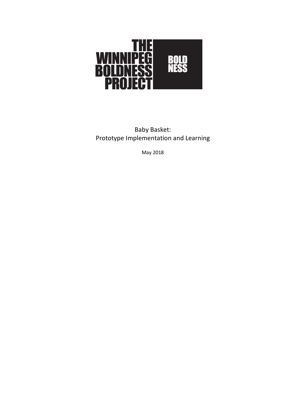

Baby Basket: Prototype Implementation and Learning

May 2018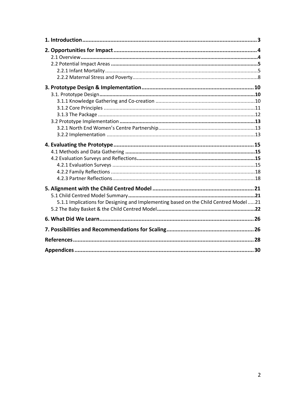| 5.1.1 Implications for Designing and Implementing based on the Child Centred Model21 |  |
|--------------------------------------------------------------------------------------|--|
|                                                                                      |  |
|                                                                                      |  |
|                                                                                      |  |
|                                                                                      |  |
|                                                                                      |  |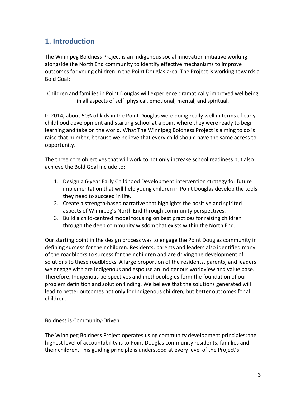# **1. Introduction**

The Winnipeg Boldness Project is an Indigenous social innovation initiative working alongside the North End community to identify effective mechanisms to improve outcomes for young children in the Point Douglas area. The Project is working towards a Bold Goal:

Children and families in Point Douglas will experience dramatically improved wellbeing in all aspects of self: physical, emotional, mental, and spiritual.

In 2014, about 50% of kids in the Point Douglas were doing really well in terms of early childhood development and starting school at a point where they were ready to begin learning and take on the world. What The Winnipeg Boldness Project is aiming to do is raise that number, because we believe that every child should have the same access to opportunity.

The three core objectives that will work to not only increase school readiness but also achieve the Bold Goal include to:

- 1. Design a 6-year Early Childhood Development intervention strategy for future implementation that will help young children in Point Douglas develop the tools they need to succeed in life.
- 2. Create a strength-based narrative that highlights the positive and spirited aspects of Winnipeg's North End through community perspectives.
- 3. Build a child-centred model focusing on best practices for raising children through the deep community wisdom that exists within the North End.

Our starting point in the design process was to engage the Point Douglas community in defining success for their children. Residents, parents and leaders also identified many of the roadblocks to success for their children and are driving the development of solutions to these roadblocks. A large proportion of the residents, parents, and leaders we engage with are Indigenous and espouse an Indigenous worldview and value base. Therefore, Indigenous perspectives and methodologies form the foundation of our problem definition and solution finding. We believe that the solutions generated will lead to better outcomes not only for Indigenous children, but better outcomes for all children.

## Boldness is Community-Driven

The Winnipeg Boldness Project operates using community development principles; the highest level of accountability is to Point Douglas community residents, families and their children. This guiding principle is understood at every level of the Project's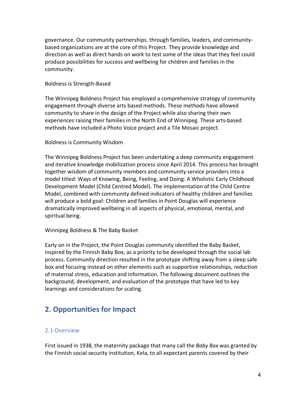governance. Our community partnerships, through families, leaders, and communitybased organizations are at the core of this Project. They provide knowledge and direction as well as direct hands on work to test some of the ideas that they feel could produce possibilities for success and wellbeing for children and families in the community.

#### Boldness is Strength-Based

The Winnipeg Boldness Project has employed a comprehensive strategy of community engagement through diverse arts based methods. These methods have allowed community to share in the design of the Project while also sharing their own experiences raising their families in the North End of Winnipeg. These arts-based methods have included a Photo Voice project and a Tile Mosaic project.

#### Boldness is Community Wisdom

The Winnipeg Boldness Project has been undertaking a deep community engagement and iterative knowledge mobilization process since April 2014. This process has brought together wisdom of community members and community service providers into a model titled: Ways of Knowing, Being, Feeling, and Doing: A Wholistic Early Childhood Development Model (Child Centred Model). The implementation of the Child Centre Model, combined with community defined indicators of healthy children and families will produce a bold goal: Children and families in Point Douglas will experience dramatically improved wellbeing in all aspects of physical, emotional, mental, and spiritual being.

#### Winnipeg Boldness & The Baby Basket

Early on in the Project, the Point Douglas community identified the Baby Basket, inspired by the Finnish Baby Box, as a priority to be developed through the social lab process. Community direction resulted in the prototype shifting away from a sleep safe box and focusing instead on other elements such as supportive relationships, reduction of maternal stress, education and information. The following document outlines the background, development, and evaluation of the prototype that have led to key learnings and considerations for scaling.

# **2. Opportunities for Impact**

## 2.1 Overview

First issued in 1938, the maternity package that many call the *Baby Box* was granted by the Finnish social security institution, Kela, to all expectant parents covered by their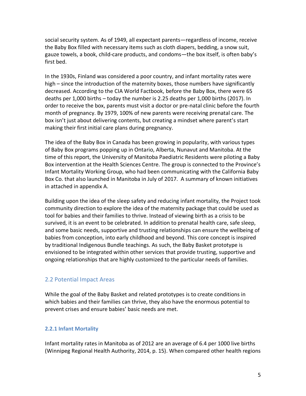social security system. As of 1949, all expectant parents—regardless of income, receive the Baby Box filled with necessary items such as cloth diapers, bedding, a snow suit, gauze towels, a book, child-care products, and condoms—the box itself, is often baby's first bed.

In the 1930s, Finland was considered a poor country, and infant mortality rates were high – since the introduction of the maternity boxes, those numbers have significantly decreased. According to the CIA World Factbook, before the Baby Box, there were 65 deaths per 1,000 births – today the number is 2.25 deaths per 1,000 births (2017). In order to receive the box, parents must visit a doctor or pre-natal clinic before the fourth month of pregnancy. By 1979, 100% of new parents were receiving prenatal care. The box isn't just about delivering contents, but creating a mindset where parent's start making their first initial care plans during pregnancy.

The idea of the Baby Box in Canada has been growing in popularity, with various types of Baby Box programs popping up in Ontario, Alberta, Nunavut and Manitoba. At the time of this report, the University of Manitoba Paediatric Residents were piloting a Baby Box intervention at the Health Sciences Centre. The group is connected to the Province's Infant Mortality Working Group, who had been communicating with the California Baby Box Co. that also launched in Manitoba in July of 2017. A summary of known initiatives in attached in appendix A.

Building upon the idea of the sleep safety and reducing infant mortality, the Project took community direction to explore the idea of the maternity package that could be used as tool for babies and their families to thrive. Instead of viewing birth as a crisis to be survived, it is an event to be celebrated. In addition to prenatal health care, safe sleep, and some basic needs, supportive and trusting relationships can ensure the wellbeing of babies from conception, into early childhood and beyond. This core concept is inspired by traditional Indigenous Bundle teachings. As such, the Baby Basket prototype is envisioned to be integrated within other services that provide trusting, supportive and ongoing relationships that are highly customized to the particular needs of families.

## 2.2 Potential Impact Areas

While the goal of the Baby Basket and related prototypes is to create conditions in which babies and their families can thrive, they also have the enormous potential to prevent crises and ensure babies' basic needs are met.

## **2.2.1 Infant Mortality**

Infant mortality rates in Manitoba as of 2012 are an average of 6.4 per 1000 live births (Winnipeg Regional Health Authority, 2014, p. 15). When compared other health regions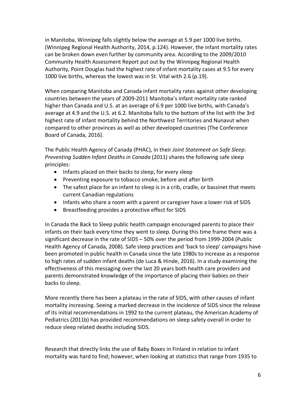in Manitoba, Winnipeg falls slightly below the average at 5.9 per 1000 live births. (Winnipeg Regional Health Authority, 2014, p.124). However, the infant mortality rates can be broken down even further by community area. According to the 2009/2010 Community Health Assessment Report put out by the Winnipeg Regional Health Authority, Point Douglas had the highest rate of infant mortality cases at 9.5 for every 1000 live births, whereas the lowest was in St. Vital with 2.6 (p.19).

When comparing Manitoba and Canada infant mortality rates against other developing countries between the years of 2009-2011 Manitoba's infant mortality rate ranked higher than Canada and U.S. at an average of 6.9 per 1000 live births, with Canada's average at 4.9 and the U.S. at 6.2. Manitoba falls to the bottom of the list with the 3rd highest rate of infant mortality behind the Northwest Territories and Nunavut when compared to other provinces as well as other developed countries (The Conference Board of Canada, 2016).

The Public Health Agency of Canada (PHAC), in their *Joint Statement on Safe Sleep: Preventing Sudden Infant Deaths in Canada* (2011) shares the following safe sleep principles:

- Infants placed on their backs to sleep, for every sleep
- Preventing exposure to tobacco smoke, before and after birth
- The safest place for an infant to sleep is in a crib, cradle, or bassinet that meets current Canadian regulations
- Infants who share a room with a parent or caregiver have a lower risk of SIDS
- Breastfeeding provides a protective effect for SIDS

In Canada the Back to Sleep public health campaign encouraged parents to place their infants on their back every time they went to sleep. During this time frame there was a significant decrease in the rate of SIDS – 50% over the period from 1999-2004 (Public Health Agency of Canada, 2008). Safe sleep practices and 'back to sleep' campaigns have been promoted in public health in Canada since the late 1980s to increase as a response to high rates of sudden infant deaths (de Luca & Hinde, 2016). In a study examining the effectiveness of this messaging over the last 20 years both health care providers and parents demonstrated knowledge of the importance of placing their babies on their backs to sleep.

More recently there has been a plateau in the rate of SIDS, with other causes of infant mortality increasing. Seeing a marked decrease in the incidence of SIDS since the release of its initial recommendations in 1992 to the current plateau, the American Academy of Pediatrics (2011b) has provided recommendations on sleep safety overall in order to reduce sleep related deaths including SIDS.

Research that directly links the use of Baby Boxes in Finland in relation to infant mortality was hard to find; however, when looking at statistics that range from 1935 to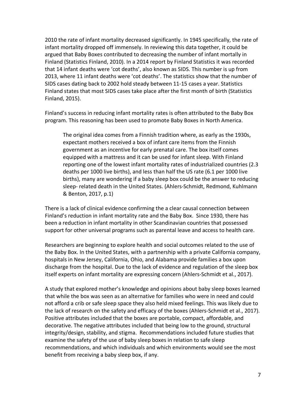2010 the rate of infant mortality decreased significantly. In 1945 specifically, the rate of infant mortality dropped off immensely. In reviewing this data together, it could be argued that Baby Boxes contributed to decreasing the number of infant mortally in Finland (Statistics Finland, 2010). In a 2014 report by Finland Statistics it was recorded that 14 infant deaths were 'cot deaths', also known as SIDS. This number is up from 2013, where 11 infant deaths were 'cot deaths'. The statistics show that the number of SIDS cases dating back to 2002 hold steady between 11-15 cases a year. Statistics Finland states that most SIDS cases take place after the first month of birth (Statistics Finland, 2015).

Finland's success in reducing infant mortality rates is often attributed to the Baby Box program. This reasoning has been used to promote Baby Boxes in North America.

The original idea comes from a Finnish tradition where, as early as the 1930s, expectant mothers received a box of infant care items from the Finnish government as an incentive for early prenatal care. The box itself comes equipped with a mattress and it can be used for infant sleep. With Finland reporting one of the lowest infant mortality rates of industrialized countries (2.3 deaths per 1000 live births), and less than half the US rate (6.1 per 1000 live births), many are wondering if a baby sleep box could be the answer to reducing sleep- related death in the United States. (Ahlers-Schmidt, Redmond, Kuhlmann & Benton, 2017, p.1)

There is a lack of clinical evidence confirming the a clear causal connection between Finland's reduction in infant mortality rate and the Baby Box. Since 1930, there has been a reduction in infant mortality in other Scandinavian countries that possessed support for other universal programs such as parental leave and access to health care.

Researchers are beginning to explore health and social outcomes related to the use of the Baby Box. In the United States, with a partnership with a private California company, hospitals in New Jersey, California, Ohio, and Alabama provide families a box upon discharge from the hospital. Due to the lack of evidence and regulation of the sleep box itself experts on infant mortality are expressing concern (Ahlers-Schmidt et al., 2017).

A study that explored mother's knowledge and opinions about baby sleep boxes learned that while the box was seen as an alternative for families who were in need and could not afford a crib or safe sleep space they also held mixed feelings. This was likely due to the lack of research on the safety and efficacy of the boxes (Ahlers-Schmidt et al., 2017). Positive attributes included that the boxes are portable, compact, affordable, and decorative. The negative attributes included that being low to the ground, structural integrity/design, stability, and stigma. Recommendations included future studies that examine the safety of the use of baby sleep boxes in relation to safe sleep recommendations, and which individuals and which environments would see the most benefit from receiving a baby sleep box, if any.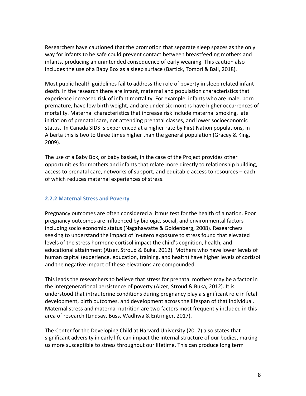Researchers have cautioned that the promotion that separate sleep spaces as the only way for infants to be safe could prevent contact between breastfeeding mothers and infants, producing an unintended consequence of early weaning. This caution also includes the use of a Baby Box as a sleep surface (Bartick, Tomori & Ball, 2018).

Most public health guidelines fail to address the role of poverty in sleep related infant death. In the research there are infant, maternal and population characteristics that experience increased risk of infant mortality. For example, infants who are male, born premature, have low birth weight, and are under six months have higher occurrences of mortality. Maternal characteristics that increase risk include maternal smoking, late initiation of prenatal care, not attending prenatal classes, and lower socioeconomic status. In Canada SIDS is experienced at a higher rate by First Nation populations, in Alberta this is two to three times higher than the general population (Gracey & King, 2009).

The use of a Baby Box, or baby basket, in the case of the Project provides other opportunities for mothers and infants that relate more directly to relationship building, access to prenatal care, networks of support, and equitable access to resources – each of which reduces maternal experiences of stress.

#### **2.2.2 Maternal Stress and Poverty**

Pregnancy outcomes are often considered a litmus test for the health of a nation. Poor pregnancy outcomes are influenced by biologic, social, and environmental factors including socio economic status (Nagahawatte & Goldenberg, 2008). Researchers seeking to understand the impact of in-utero exposure to stress found that elevated levels of the stress hormone cortisol impact the child's cognition, health, and educational attainment (Aizer, Stroud & Buka, 2012). Mothers who have lower levels of human capital (experience, education, training, and health) have higher levels of cortisol and the negative impact of these elevations are compounded.

This leads the researchers to believe that stress for prenatal mothers may be a factor in the intergenerational persistence of poverty (Aizer, Stroud & Buka, 2012). It is understood that intrauterine conditions during pregnancy play a significant role in fetal development, birth outcomes, and development across the lifespan of that individual. Maternal stress and maternal nutrition are two factors most frequently included in this area of research (Lindsay, Buss, Wadhwa & Entringer, 2017).

The Center for the Developing Child at Harvard University (2017) also states that significant adversity in early life can impact the internal structure of our bodies, making us more susceptible to stress throughout our lifetime. This can produce long term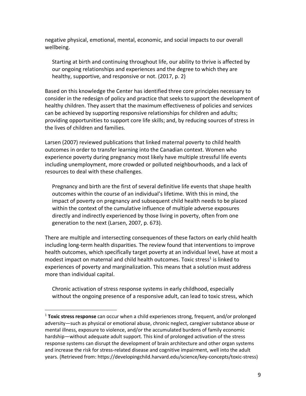negative physical, emotional, mental, economic, and social impacts to our overall wellbeing.

Starting at birth and continuing throughout life, our ability to thrive is affected by our ongoing relationships and experiences and the degree to which they are healthy, supportive, and responsive or not. (2017, p. 2)

Based on this knowledge the Center has identified three core principles necessary to consider in the redesign of policy and practice that seeks to support the development of healthy children. They assert that the maximum effectiveness of policies and services can be achieved by supporting responsive relationships for children and adults; providing opportunities to support core life skills; and, by reducing sources of stress in the lives of children and families.

Larsen (2007) reviewed publications that linked maternal poverty to child health outcomes in order to transfer learning into the Canadian context. Women who experience poverty during pregnancy most likely have multiple stressful life events including unemployment, more crowded or polluted neighbourhoods, and a lack of resources to deal with these challenges.

Pregnancy and birth are the first of several definitive life events that shape health outcomes within the course of an individual's lifetime. With this in mind, the impact of poverty on pregnancy and subsequent child health needs to be placed within the context of the cumulative influence of multiple adverse exposures directly and indirectly experienced by those living in poverty, often from one generation to the next (Larsen, 2007, p. 673).

There are multiple and intersecting consequences of these factors on early child health including long-term health disparities. The review found that interventions to improve health outcomes, which specifically target poverty at an individual level, have at most a modest impact on maternal and child health outcomes. Toxic stress<sup>1</sup> is linked to experiences of poverty and marginalization. This means that a solution must address more than individual capital.

Chronic activation of stress response systems in early childhood, especially without the ongoing presence of a responsive adult, can lead to toxic stress, which

 <sup>1</sup> **Toxic stress response** can occur when a child experiences strong, frequent, and/or prolonged adversity—such as physical or emotional abuse, chronic neglect, caregiver substance abuse or mental illness, exposure to violence, and/or the accumulated burdens of family economic hardship—without adequate adult support. This kind of prolonged activation of the stress response systems can disrupt the development of brain architecture and other organ systems and increase the risk for stress-related disease and cognitive impairment, well into the adult years. (Retrieved from: https://developingchild.harvard.edu/science/key-concepts/toxic-stress)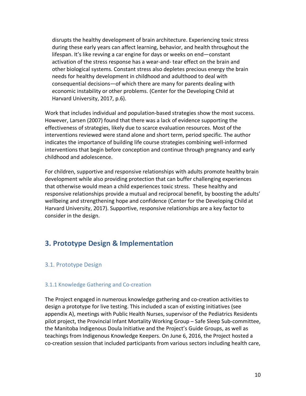disrupts the healthy development of brain architecture. Experiencing toxic stress during these early years can affect learning, behavior, and health throughout the lifespan. It's like revving a car engine for days or weeks on end—constant activation of the stress response has a wear-and- tear effect on the brain and other biological systems. Constant stress also depletes precious energy the brain needs for healthy development in childhood and adulthood to deal with consequential decisions—of which there are many for parents dealing with economic instability or other problems. (Center for the Developing Child at Harvard University, 2017, p.6).

Work that includes individual and population-based strategies show the most success. However, Larsen (2007) found that there was a lack of evidence supporting the effectiveness of strategies, likely due to scarce evaluation resources. Most of the interventions reviewed were stand alone and short term, period specific. The author indicates the importance of building life course strategies combining well-informed interventions that begin before conception and continue through pregnancy and early childhood and adolescence.

For children, supportive and responsive relationships with adults promote healthy brain development while also providing protection that can buffer challenging experiences that otherwise would mean a child experiences toxic stress. These healthy and responsive relationships provide a mutual and reciprocal benefit, by boosting the adults' wellbeing and strengthening hope and confidence (Center for the Developing Child at Harvard University, 2017). Supportive, responsive relationships are a key factor to consider in the design.

# **3. Prototype Design & Implementation**

## 3.1. Prototype Design

#### 3.1.1 Knowledge Gathering and Co-creation

The Project engaged in numerous knowledge gathering and co-creation activities to design a prototype for live testing. This included a scan of existing initiatives (see appendix A), meetings with Public Health Nurses, supervisor of the Pediatrics Residents pilot project, the Provincial Infant Mortality Working Group – Safe Sleep Sub-committee, the Manitoba Indigenous Doula Initiative and the Project's Guide Groups, as well as teachings from Indigenous Knowledge Keepers. On June 6, 2016, the Project hosted a co-creation session that included participants from various sectors including health care,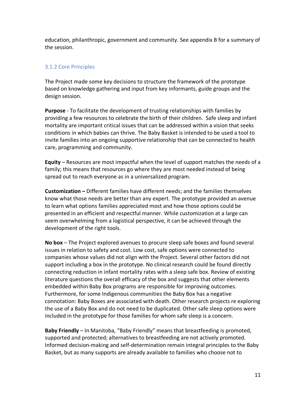education, philanthropic, government and community. See appendix B for a summary of the session.

## 3.1.2 Core Principles

The Project made some key decisions to structure the framework of the prototype based on knowledge gathering and input from key informants, guide groups and the design session.

**Purpose** - To facilitate the development of trusting relationships with families by providing a few resources to celebrate the birth of their children. Safe sleep and infant mortality are important critical issues that can be addressed within a vision that seeks conditions in which babies can thrive. The Baby Basket is intended to be used a tool to invite families into an ongoing supportive relationship that can be connected to health care, programming and community.

**Equity** – Resources are most impactful when the level of support matches the needs of a family; this means that resources go where they are most needed instead of being spread out to reach everyone as in a universalized program.

**Customization –** Different families have different needs; and the families themselves know what those needs are better than any expert. The prototype provided an avenue to learn what options families appreciated most and how those options could be presented in an efficient and respectful manner. While customization at a large can seem overwhelming from a logistical perspective, it can be achieved through the development of the right tools.

**No box** – The Project explored avenues to procure sleep safe boxes and found several issues in relation to safety and cost. Low cost, safe options were connected to companies whose values did not align with the Project. Several other factors did not support including a box in the prototype. No clinical research could be found directly connecting reduction in infant mortality rates with a sleep safe box. Review of existing literature questions the overall efficacy of the box and suggests that other elements embedded within Baby Box programs are responsible for improving outcomes. Furthermore, for some Indigenous communities the Baby Box has a negative connotation: Baby Boxes are associated with death. Other research projects re exploring the use of a Baby Box and do not need to be duplicated. Other safe sleep options were included in the prototype for those families for whom safe sleep is a concern.

**Baby Friendly** – In Manitoba, "Baby Friendly" means that breastfeeding is promoted, supported and protected; alternatives to breastfeeding are not actively promoted. Informed decision-making and self-determination remain integral principles to the Baby Basket, but as many supports are already available to families who choose not to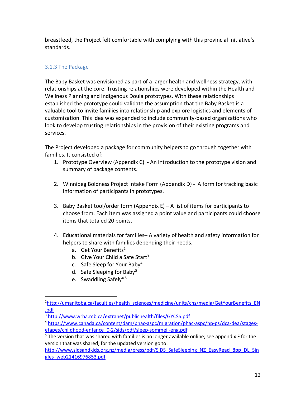breastfeed, the Project felt comfortable with complying with this provincial initiative's standards.

## 3.1.3 The Package

The Baby Basket was envisioned as part of a larger health and wellness strategy, with relationships at the core. Trusting relationships were developed within the Health and Wellness Planning and Indigenous Doula prototypes. With these relationships established the prototype could validate the assumption that the Baby Basket is a valuable tool to invite families into relationship and explore logistics and elements of customization. This idea was expanded to include community-based organizations who look to develop trusting relationships in the provision of their existing programs and services.

The Project developed a package for community helpers to go through together with families. It consisted of:

- 1. Prototype Overview (Appendix C) An introduction to the prototype vision and summary of package contents.
- 2. Winnipeg Boldness Project Intake Form (Appendix D) A form for tracking basic information of participants in prototypes.
- 3. Baby Basket tool/order form (Appendix E) A list of items for participants to choose from. Each item was assigned a point value and participants could choose items that totaled 20 points.
- 4. Educational materials for families– A variety of health and safety information for helpers to share with families depending their needs.
	- a. Get Your Benefits<sup>2</sup>
	- b. Give Your Child a Safe Start $3$
	- c. Safe Sleep for Your Baby4
	- d. Safe Sleeping for Baby<sup>5</sup>
	- e. Swaddling Safely\*6

http://www.sidsandkids.org.nz/media/press/pdf/SIDS\_SafeSleeping\_NZ\_EasyRead\_8pp\_DL\_Sin gles\_web21416976853.pdf

 $\overline{2}$ <sup>2</sup>http://umanitoba.ca/faculties/health\_sciences/medicine/units/chs/media/GetYourBenefits\_EN .pdf

<sup>3</sup> http://www.wrha.mb.ca/extranet/publichealth/files/GYCSS.pdf

<sup>4</sup> https://www.canada.ca/content/dam/phac-aspc/migration/phac-aspc/hp-ps/dca-dea/stagesetapes/childhood-enfance\_0-2/sids/pdf/sleep-sommeil-eng.pdf

 $5$  The version that was shared with families is no longer available online; see appendix F for the version that was shared; for the updated version go to: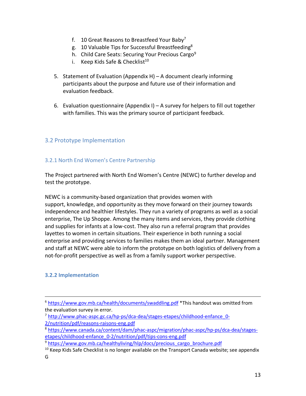- f. 10 Great Reasons to Breastfeed Your Baby<sup>7</sup>
- g. 10 Valuable Tips for Successful Breastfeeding8
- h. Child Care Seats: Securing Your Precious Cargo<sup>9</sup>
- i. Keep Kids Safe & Checklist<sup>10</sup>
- 5. Statement of Evaluation (Appendix H) A document clearly informing participants about the purpose and future use of their information and evaluation feedback.
- 6. Evaluation questionnaire (Appendix I) A survey for helpers to fill out together with families. This was the primary source of participant feedback.

## 3.2 Prototype Implementation

#### 3.2.1 North End Women's Centre Partnership

The Project partnered with North End Women's Centre (NEWC) to further develop and test the prototype.

NEWC is a community-based organization that provides women with support, knowledge, and opportunity as they move forward on their journey towards independence and healthier lifestyles. They run a variety of programs as well as a social enterprise, The Up Shoppe. Among the many items and services, they provide clothing and supplies for infants at a low-cost. They also run a referral program that provides layettes to women in certain situations. Their experience in both running a social enterprise and providing services to families makes them an ideal partner. Management and staff at NEWC were able to inform the prototype on both logistics of delivery from a not-for-profit perspective as well as from a family support worker perspective.

#### **3.2.2 Implementation**

 <sup>6</sup> https://www.gov.mb.ca/health/documents/swaddling.pdf \*This handout was omitted from the evaluation survey in error.

<sup>7</sup> http://www.phac-aspc.gc.ca/hp-ps/dca-dea/stages-etapes/childhood-enfance\_0- 2/nutrition/pdf/reasons-raisons-eng.pdf

<sup>8</sup> https://www.canada.ca/content/dam/phac-aspc/migration/phac-aspc/hp-ps/dca-dea/stagesetapes/childhood-enfance\_0-2/nutrition/pdf/tips-cons-eng.pdf

<sup>&</sup>lt;sup>9</sup> https://www.gov.mb.ca/healthyliving/hlp/docs/precious\_cargo\_brochure.pdf

 $10$  Keep Kids Safe Checklist is no longer available on the Transport Canada website; see appendix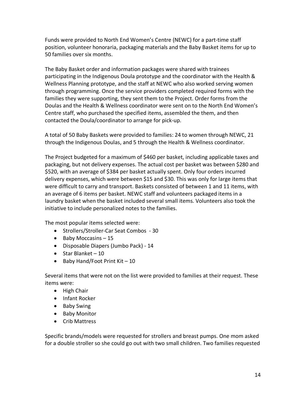Funds were provided to North End Women's Centre (NEWC) for a part-time staff position, volunteer honoraria, packaging materials and the Baby Basket items for up to 50 families over six months.

The Baby Basket order and information packages were shared with trainees participating in the Indigenous Doula prototype and the coordinator with the Health & Wellness Planning prototype, and the staff at NEWC who also worked serving women through programming. Once the service providers completed required forms with the families they were supporting, they sent them to the Project. Order forms from the Doulas and the Health & Wellness coordinator were sent on to the North End Women's Centre staff, who purchased the specified items, assembled the them, and then contacted the Doula/coordinator to arrange for pick-up.

A total of 50 Baby Baskets were provided to families: 24 to women through NEWC, 21 through the Indigenous Doulas, and 5 through the Health & Wellness coordinator.

The Project budgeted for a maximum of \$460 per basket, including applicable taxes and packaging, but not delivery expenses. The actual cost per basket was between \$280 and \$520, with an average of \$384 per basket actually spent. Only four orders incurred delivery expenses, which were between \$15 and \$30. This was only for large items that were difficult to carry and transport. Baskets consisted of between 1 and 11 items, with an average of 6 items per basket. NEWC staff and volunteers packaged items in a laundry basket when the basket included several small items. Volunteers also took the initiative to include personalized notes to the families.

The most popular items selected were:

- Strollers/Stroller-Car Seat Combos 30
- Baby Moccasins 15
- Disposable Diapers (Jumbo Pack) 14
- Star Blanket 10
- Baby Hand/Foot Print Kit  $-10$

Several items that were not on the list were provided to families at their request. These items were:

- High Chair
- Infant Rocker
- Baby Swing
- Baby Monitor
- Crib Mattress

Specific brands/models were requested for strollers and breast pumps. One mom asked for a double stroller so she could go out with two small children. Two families requested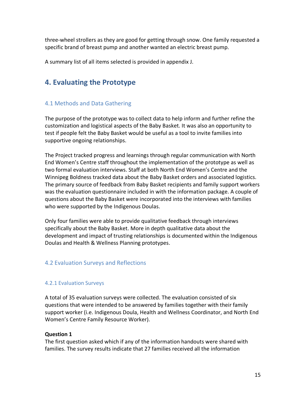three-wheel strollers as they are good for getting through snow. One family requested a specific brand of breast pump and another wanted an electric breast pump.

A summary list of all items selected is provided in appendix J.

# **4. Evaluating the Prototype**

## 4.1 Methods and Data Gathering

The purpose of the prototype was to collect data to help inform and further refine the customization and logistical aspects of the Baby Basket. It was also an opportunity to test if people felt the Baby Basket would be useful as a tool to invite families into supportive ongoing relationships.

The Project tracked progress and learnings through regular communication with North End Women's Centre staff throughout the implementation of the prototype as well as two formal evaluation interviews. Staff at both North End Women's Centre and the Winnipeg Boldness tracked data about the Baby Basket orders and associated logistics. The primary source of feedback from Baby Basket recipients and family support workers was the evaluation questionnaire included in with the information package. A couple of questions about the Baby Basket were incorporated into the interviews with families who were supported by the Indigenous Doulas.

Only four families were able to provide qualitative feedback through interviews specifically about the Baby Basket. More in depth qualitative data about the development and impact of trusting relationships is documented within the Indigenous Doulas and Health & Wellness Planning prototypes.

## 4.2 Evaluation Surveys and Reflections

## 4.2.1 Evaluation Surveys

A total of 35 evaluation surveys were collected. The evaluation consisted of six questions that were intended to be answered by families together with their family support worker (i.e. Indigenous Doula, Health and Wellness Coordinator, and North End Women's Centre Family Resource Worker).

## **Question 1**

The first question asked which if any of the information handouts were shared with families. The survey results indicate that 27 families received all the information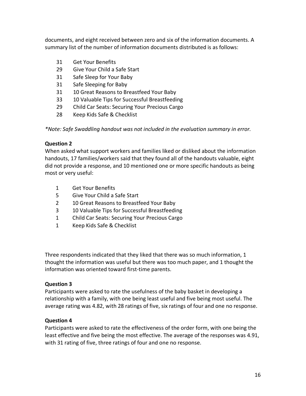documents, and eight received between zero and six of the information documents. A summary list of the number of information documents distributed is as follows:

- 31 Get Your Benefits
- 29 Give Your Child a Safe Start
- 31 Safe Sleep for Your Baby
- 31 Safe Sleeping for Baby
- 31 10 Great Reasons to Breastfeed Your Baby
- 33 10 Valuable Tips for Successful Breastfeeding
- 29 Child Car Seats: Securing Your Precious Cargo
- 28 Keep Kids Safe & Checklist

*\*Note: Safe Swaddling handout was not included in the evaluation summary in error.*

## **Question 2**

When asked what support workers and families liked or disliked about the information handouts, 17 families/workers said that they found all of the handouts valuable, eight did not provide a response, and 10 mentioned one or more specific handouts as being most or very useful:

- 1 Get Your Benefits
- 5 Give Your Child a Safe Start
- 2 10 Great Reasons to Breastfeed Your Baby
- 3 10 Valuable Tips for Successful Breastfeeding
- 1 Child Car Seats: Securing Your Precious Cargo
- 1 Keep Kids Safe & Checklist

Three respondents indicated that they liked that there was so much information, 1 thought the information was useful but there was too much paper, and 1 thought the information was oriented toward first-time parents.

## **Question 3**

Participants were asked to rate the usefulness of the baby basket in developing a relationship with a family, with one being least useful and five being most useful. The average rating was 4.82, with 28 ratings of five, six ratings of four and one no response.

## **Question 4**

Participants were asked to rate the effectiveness of the order form, with one being the least effective and five being the most effective. The average of the responses was 4.91, with 31 rating of five, three ratings of four and one no response.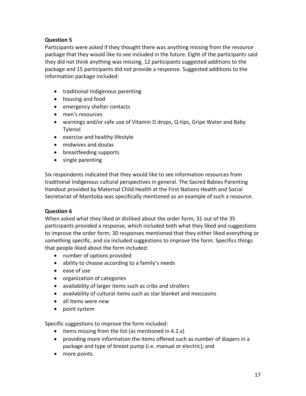## **Question 5**

Participants were asked if they thought there was anything missing from the resource package that they would like to see included in the future. Eight of the participants said they did not think anything was missing, 12 participants suggested additions to the package and 15 participants did not provide a response. Suggested additions to the information package included:

- traditional Indigenous parenting
- housing and food
- emergency shelter contacts
- men's resources
- warnings and/or safe use of Vitamin D drops, Q-tips, Gripe Water and Baby Tylenol
- exercise and healthy lifestyle
- midwives and doulas
- breastfeeding supports
- single parenting

Six respondents indicated that they would like to see information resources from traditional Indigenous cultural perspectives in general. The Sacred Babies Parenting Handout provided by Maternal Child Health at the First Nations Health and Social Secretariat of Manitoba was specifically mentioned as an example of such a resource.

## **Question 6**

When asked what they liked or disliked about the order form, 31 out of the 35 participants provided a response, which included both what they liked and suggestions to improve the order form; 30 responses mentioned that they either liked everything or something specific, and six included suggestions to improve the form. Specifics things that people liked about the form included:

- number of options provided
- ability to choose according to a family's needs
- ease of use
- organization of categories
- availability of larger items such as cribs and strollers
- availability of cultural items such as star blanket and moccasins
- all items were new
- point system

Specific suggestions to improve the form included:

- items missing from the list (as mentioned in 4.2.x)
- providing more information the items offered such as number of diapers in a package and type of breast pump (i.e. manual or electric); and
- more points.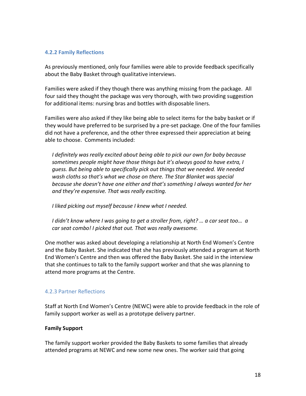#### **4.2.2 Family Reflections**

As previously mentioned, only four families were able to provide feedback specifically about the Baby Basket through qualitative interviews.

Families were asked if they though there was anything missing from the package. All four said they thought the package was very thorough, with two providing suggestion for additional items: nursing bras and bottles with disposable liners.

Families were also asked if they like being able to select items for the baby basket or if they would have preferred to be surprised by a pre-set package. One of the four families did not have a preference, and the other three expressed their appreciation at being able to choose. Comments included:

*I definitely was really excited about being able to pick our own for baby because sometimes people might have those things but it's always good to have extra, I guess. But being able to specifically pick out things that we needed. We needed wash cloths so that's what we chose on there. The Star Blanket was special because she doesn't have one either and that's something I always wanted for her and they're expensive. That was really exciting.*

*I liked picking out myself because I knew what I needed.* 

*I didn't know where I was going to get a stroller from, right? … a car seat too… a car seat combo! I picked that out. That was really awesome.* 

One mother was asked about developing a relationship at North End Women's Centre and the Baby Basket. She indicated that she has previously attended a program at North End Women's Centre and then was offered the Baby Basket. She said in the interview that she continues to talk to the family support worker and that she was planning to attend more programs at the Centre.

## 4.2.3 Partner Reflections

Staff at North End Women's Centre (NEWC) were able to provide feedback in the role of family support worker as well as a prototype delivery partner.

## **Family Support**

The family support worker provided the Baby Baskets to some families that already attended programs at NEWC and new some new ones. The worker said that going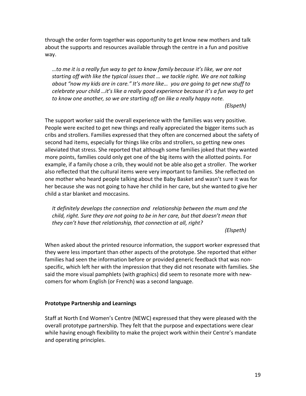through the order form together was opportunity to get know new mothers and talk about the supports and resources available through the centre in a fun and positive way.

*…to me it is a really fun way to get to know family because it's like, we are not starting off with like the typical issues that … we tackle right. We are not talking about "now my kids are in care." It's more like… you are going to get new stuff to celebrate your child …it's like a really good experience because it's a fun way to get to know one another, so we are starting off on like a really happy note. (Elspeth)*

The support worker said the overall experience with the families was very positive. People were excited to get new things and really appreciated the bigger items such as cribs and strollers. Families expressed that they often are concerned about the safety of second had items, especially for things like cribs and strollers, so getting new ones alleviated that stress. She reported that although some families joked that they wanted more points, families could only get one of the big items with the allotted points. For example, if a family chose a crib, they would not be able also get a stroller. The worker also reflected that the cultural items were very important to families. She reflected on one mother who heard people talking about the Baby Basket and wasn't sure it was for her because she was not going to have her child in her care, but she wanted to give her child a star blanket and moccasins.

*It definitely develops the connection and relationship between the mum and the child, right. Sure they are not going to be in her care, but that doesn't mean that they can't have that relationship, that connection at all, right?*

#### *(Elspeth)*

When asked about the printed resource information, the support worker expressed that they were less important than other aspects of the prototype. She reported that either families had seen the information before or provided generic feedback that was nonspecific, which left her with the impression that they did not resonate with families. She said the more visual pamphlets (with graphics) did seem to resonate more with newcomers for whom English (or French) was a second language.

#### **Prototype Partnership and Learnings**

Staff at North End Women's Centre (NEWC) expressed that they were pleased with the overall prototype partnership. They felt that the purpose and expectations were clear while having enough flexibility to make the project work within their Centre's mandate and operating principles.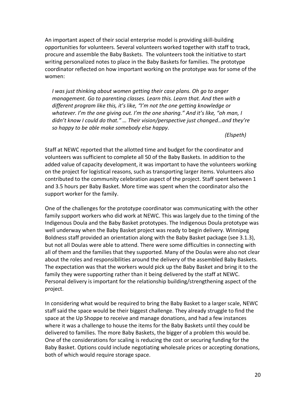An important aspect of their social enterprise model is providing skill-building opportunities for volunteers. Several volunteers worked together with staff to track, procure and assemble the Baby Baskets. The volunteers took the initiative to start writing personalized notes to place in the Baby Baskets for families. The prototype coordinator reflected on how important working on the prototype was for some of the women:

*I was just thinking about women getting their case plans. Oh go to anger management. Go to parenting classes. Learn this. Learn that. And then with a different program like this, it's like, "I'm not the one getting knowledge or whatever. I'm the one giving out. I'm the one sharing." And it's like, "oh man, I didn't know I could do that." … Their vision/perspective just changed…and they're so happy to be able make somebody else happy*.

*(Elspeth)*

Staff at NEWC reported that the allotted time and budget for the coordinator and volunteers was sufficient to complete all 50 of the Baby Baskets. In addition to the added value of capacity development, it was important to have the volunteers working on the project for logistical reasons, such as transporting larger items. Volunteers also contributed to the community celebration aspect of the project. Staff spent between 1 and 3.5 hours per Baby Basket. More time was spent when the coordinator also the support worker for the family.

One of the challenges for the prototype coordinator was communicating with the other family support workers who did work at NEWC. This was largely due to the timing of the Indigenous Doula and the Baby Basket prototypes. The Indigenous Doula prototype was well underway when the Baby Basket project was ready to begin delivery. Winnipeg Boldness staff provided an orientation along with the Baby Basket package (see 3.1.3), but not all Doulas were able to attend. There were some difficulties in connecting with all of them and the families that they supported. Many of the Doulas were also not clear about the roles and responsibilities around the delivery of the assembled Baby Baskets. The expectation was that the workers would pick up the Baby Basket and bring it to the family they were supporting rather than it being delivered by the staff at NEWC. Personal delivery is important for the relationship building/strengthening aspect of the project.

In considering what would be required to bring the Baby Basket to a larger scale, NEWC staff said the space would be their biggest challenge. They already struggle to find the space at the Up Shoppe to receive and manage donations, and had a few instances where it was a challenge to house the items for the Baby Baskets until they could be delivered to families. The more Baby Baskets, the bigger of a problem this would be. One of the considerations for scaling is reducing the cost or securing funding for the Baby Basket. Options could include negotiating wholesale prices or accepting donations, both of which would require storage space.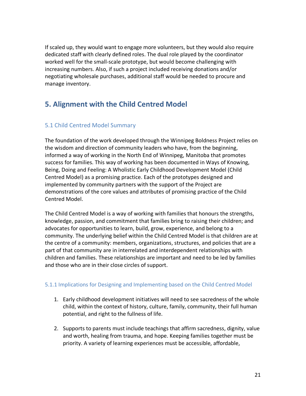If scaled up, they would want to engage more volunteers, but they would also require dedicated staff with clearly defined roles. The dual role played by the coordinator worked well for the small-scale prototype, but would become challenging with increasing numbers. Also, if such a project included receiving donations and/or negotiating wholesale purchases, additional staff would be needed to procure and manage inventory.

# **5. Alignment with the Child Centred Model**

## 5.1 Child Centred Model Summary

The foundation of the work developed through the Winnipeg Boldness Project relies on the wisdom and direction of community leaders who have, from the beginning, informed a way of working in the North End of Winnipeg, Manitoba that promotes success for families. This way of working has been documented in Ways of Knowing, Being, Doing and Feeling: A Wholistic Early Childhood Development Model (Child Centred Model) as a promising practice. Each of the prototypes designed and implemented by community partners with the support of the Project are demonstrations of the core values and attributes of promising practice of the Child Centred Model.

The Child Centred Model is a way of working with families that honours the strengths, knowledge, passion, and commitment that families bring to raising their children; and advocates for opportunities to learn, build, grow, experience, and belong to a community. The underlying belief within the Child Centred Model is that children are at the centre of a community: members, organizations, structures, and policies that are a part of that community are in interrelated and interdependent relationships with children and families. These relationships are important and need to be led by families and those who are in their close circles of support.

## 5.1.1 Implications for Designing and Implementing based on the Child Centred Model

- 1. Early childhood development initiatives will need to see sacredness of the whole child, within the context of history, culture, family, community, their full human potential, and right to the fullness of life.
- 2. Supports to parents must include teachings that affirm sacredness, dignity, value and worth, healing from trauma, and hope. Keeping families together must be priority. A variety of learning experiences must be accessible, affordable,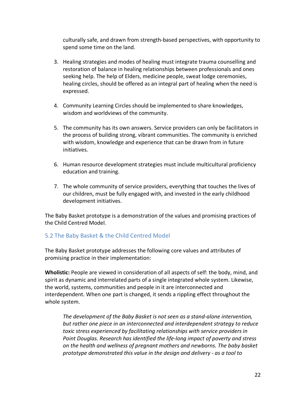culturally safe, and drawn from strength-based perspectives, with opportunity to spend some time on the land.

- 3. Healing strategies and modes of healing must integrate trauma counselling and restoration of balance in healing relationships between professionals and ones seeking help. The help of Elders, medicine people, sweat lodge ceremonies, healing circles, should be offered as an integral part of healing when the need is expressed.
- 4. Community Learning Circles should be implemented to share knowledges, wisdom and worldviews of the community.
- 5. The community has its own answers. Service providers can only be facilitators in the process of building strong, vibrant communities. The community is enriched with wisdom, knowledge and experience that can be drawn from in future initiatives.
- 6. Human resource development strategies must include multicultural proficiency education and training.
- 7. The whole community of service providers, everything that touches the lives of our children, must be fully engaged with, and invested in the early childhood development initiatives.

The Baby Basket prototype is a demonstration of the values and promising practices of the Child Centred Model.

## 5.2 The Baby Basket & the Child Centred Model

The Baby Basket prototype addresses the following core values and attributes of promising practice in their implementation:

**Wholistic:** People are viewed in consideration of all aspects of self: the body, mind, and spirit as dynamic and interrelated parts of a single integrated whole system. Likewise, the world, systems, communities and people in it are interconnected and interdependent. When one part is changed, it sends a rippling effect throughout the whole system.

*The development of the Baby Basket is not seen as a stand-alone intervention, but rather one piece in an interconnected and interdependent strategy to reduce toxic stress experienced by facilitating relationships with service providers in Point Douglas. Research has identified the life-long impact of poverty and stress on the health and wellness of pregnant mothers and newborns. The baby basket prototype demonstrated this value in the design and delivery - as a tool to*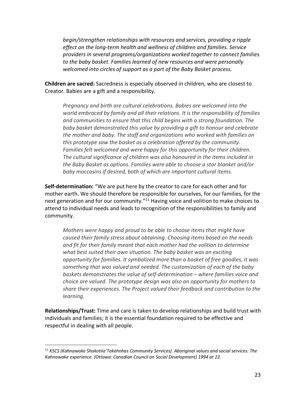*begin/strengthen relationships with resources and services, providing a ripple effect on the long-term health and wellness of children and families. Service providers in several programs/organizations worked together to connect families to the baby basket. Families learned of new resources and were personally welcomed into circles of support as a part of the Baby Basket process.*

**Children are sacred:** Sacredness is especially observed in children, who are closest to Creator. Babies are a gift and a responsibility.

*Pregnancy and birth are cultural celebrations. Babies are welcomed into the world embraced by family and all their relations. It is the responsibility of families and communities to ensure that this child begins with a strong foundation. The baby basket demonstrated this value by providing a gift to honour and celebrate the mother and baby. The staff and organizations who worked with families on this prototype saw the basket as a celebration offered by the community. Families felt welcomed and were happy for this opportunity for their children. The cultural significance of children was also honoured in the items included in the Baby Basket as options. Families were able to choose a star blanket and/or baby moccasins if desired, both of which are important cultural items.*

**Self-determination:** "We are put here by the creator to care for each other and for mother earth. We should therefore be responsible for ourselves, for our families, for the next generation and for our community."<sup>11</sup> Having voice and volition to make choices to attend to individual needs and leads to recognition of the responsibilities to family and community.

*Mothers were happy and proud to be able to choose items that might have caused their family stress about obtaining. Choosing items based on the needs and fit for their family meant that each mother had the volition to determine what best suited their own situation. The baby basket was an exciting opportunity for families. It symbolized more than a basket of free goodies, it was something that was valued and needed. The customization of each of the baby baskets demonstrates the value of self-determination – where families voice and choice are valued. The prototype design was also an opportunity for mothers to share their experiences. The Project valued their feedback and contribution to the learning.* 

**Relationships/Trust:** Time and care is taken to develop relationships and build trust with individuals and families; it is the essential foundation required to be effective and respectful in dealing with all people.

 <sup>11</sup> *KSCS (Kahnawake Shakotiia'Takehnhas Community Services). Aboriginal values and social services: The Kahnawake experience. (Ottawa: Canadian Council on Social Development) 1994 at 22.*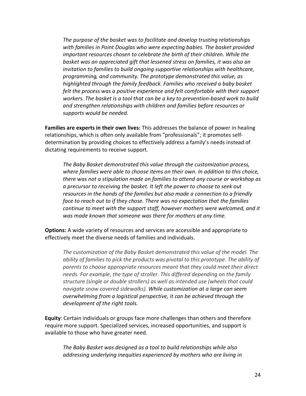*The purpose of the basket was to facilitate and develop trusting relationships with families in Point Douglas who were expecting babies. The basket provided important resources chosen to celebrate the birth of their children. While the basket was an appreciated gift that lessened stress on families, it was also an invitation to families to build ongoing supportive relationships with healthcare, programming, and community. The prototype demonstrated this value, as highlighted through the family feedback. Families who received a baby basket felt the process was a positive experience and felt comfortable with their support workers. The basket is a tool that can be a key to prevention-based work to build and strengthen relationships with children and families before resources or supports would be needed.* 

**Families are experts in their own lives:** This addresses the balance of power in healing relationships, which is often only available from "professionals"; it promotes selfdetermination by providing choices to effectively address a family's needs instead of dictating requirements to receive support.

*The Baby Basket demonstrated this value through the customization process, where families were able to choose items on their own. In addition to this choice, there was not a stipulation made on families to attend any course or workshop as a precursor to receiving the basket. It left the power to choose to seek out resources in the hands of the families but also made a connection to a friendly face to reach out to if they chose. There was no expectation that the families continue to meet with the support staff, however mothers were welcomed, and it was made known that someone was there for mothers at any time.* 

**Options:** A wide variety of resources and services are accessible and appropriate to effectively meet the diverse needs of families and individuals.

*The customization of the Baby Basket demonstrated this value of the model. The ability of families to pick the products was pivotal to this prototype. The ability of parents to choose appropriate resources meant that they could meet their direct needs. For example, the type of stroller. This differed depending on the family structure (single or double strollers) as well as intended use (wheels that could navigate snow covered sidewalks). While customization at a large can seem overwhelming from a logistical perspective, it can be achieved through the development of the right tools.* 

**Equity**: Certain individuals or groups face more challenges than others and therefore require more support. Specialized services, increased opportunities, and support is available to those who have greater need.

*The Baby Basket was designed as a tool to build relationships while also addressing underlying inequities experienced by mothers who are living in*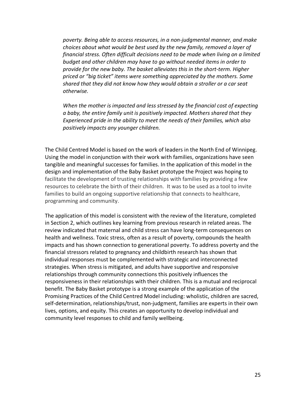*poverty. Being able to access resources, in a non-judgmental manner, and make choices about what would be best used by the new family, removed a layer of financial stress. Often difficult decisions need to be made when living on a limited budget and other children may have to go without needed items in order to provide for the new baby. The basket alleviates this in the short-term. Higher priced or "big ticket" items were something appreciated by the mothers. Some shared that they did not know how they would obtain a stroller or a car seat otherwise.* 

*When the mother is impacted and less stressed by the financial cost of expecting a baby, the entire family unit is positively impacted. Mothers shared that they Experienced pride in the ability to meet the needs of their families, which also positively impacts any younger children.* 

The Child Centred Model is based on the work of leaders in the North End of Winnipeg. Using the model in conjunction with their work with families, organizations have seen tangible and meaningful successes for families. In the application of this model in the design and implementation of the Baby Basket prototype the Project was hoping to facilitate the development of trusting relationships with families by providing a few resources to celebrate the birth of their children. It was to be used as a tool to invite families to build an ongoing supportive relationship that connects to healthcare, programming and community.

The application of this model is consistent with the review of the literature, completed in Section 2, which outlines key learning from previous research in related areas. The review indicated that maternal and child stress can have long-term consequences on health and wellness. Toxic stress, often as a result of poverty, compounds the health impacts and has shown connection to generational poverty. To address poverty and the financial stressors related to pregnancy and childbirth research has shown that individual responses must be complemented with strategic and interconnected strategies. When stress is mitigated, and adults have supportive and responsive relationships through community connections this positively influences the responsiveness in their relationships with their children. This is a mutual and reciprocal benefit. The Baby Basket prototype is a strong example of the application of the Promising Practices of the Child Centred Model including: wholistic, children are sacred, self-determination, relationships/trust, non-judgment, families are experts in their own lives, options, and equity. This creates an opportunity to develop individual and community level responses to child and family wellbeing.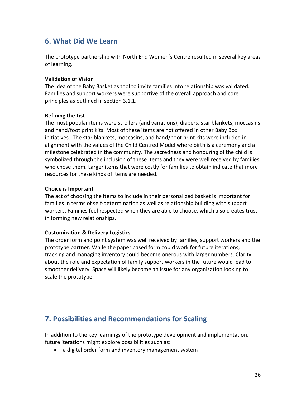## **6. What Did We Learn**

The prototype partnership with North End Women's Centre resulted in several key areas of learning.

#### **Validation of Vision**

The idea of the Baby Basket as tool to invite families into relationship was validated. Families and support workers were supportive of the overall approach and core principles as outlined in section 3.1.1.

#### **Refining the List**

The most popular items were strollers (and variations), diapers, star blankets, moccasins and hand/foot print kits. Most of these items are not offered in other Baby Box initiatives. The star blankets, moccasins, and hand/hoot print kits were included in alignment with the values of the Child Centred Model where birth is a ceremony and a milestone celebrated in the community. The sacredness and honouring of the child is symbolized through the inclusion of these items and they were well received by families who chose them. Larger items that were costly for families to obtain indicate that more resources for these kinds of items are needed.

#### **Choice is Important**

The act of choosing the items to include in their personalized basket is important for families in terms of self-determination as well as relationship building with support workers. Families feel respected when they are able to choose, which also creates trust in forming new relationships.

#### **Customization & Delivery Logistics**

The order form and point system was well received by families, support workers and the prototype partner. While the paper based form could work for future iterations, tracking and managing inventory could become onerous with larger numbers. Clarity about the role and expectation of family support workers in the future would lead to smoother delivery. Space will likely become an issue for any organization looking to scale the prototype.

# **7. Possibilities and Recommendations for Scaling**

In addition to the key learnings of the prototype development and implementation, future iterations might explore possibilities such as:

• a digital order form and inventory management system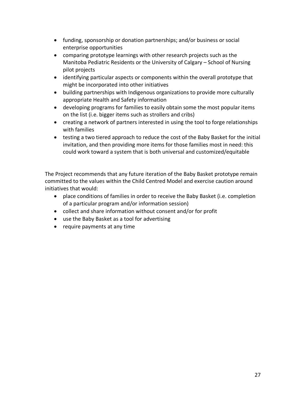- funding, sponsorship or donation partnerships; and/or business or social enterprise opportunities
- comparing prototype learnings with other research projects such as the Manitoba Pediatric Residents or the University of Calgary – School of Nursing pilot projects
- identifying particular aspects or components within the overall prototype that might be incorporated into other initiatives
- building partnerships with Indigenous organizations to provide more culturally appropriate Health and Safety information
- developing programs for families to easily obtain some the most popular items on the list (i.e. bigger items such as strollers and cribs)
- creating a network of partners interested in using the tool to forge relationships with families
- testing a two tiered approach to reduce the cost of the Baby Basket for the initial invitation, and then providing more items for those families most in need: this could work toward a system that is both universal and customized/equitable

The Project recommends that any future iteration of the Baby Basket prototype remain committed to the values within the Child Centred Model and exercise caution around initiatives that would:

- place conditions of families in order to receive the Baby Basket (i.e. completion of a particular program and/or information session)
- collect and share information without consent and/or for profit
- use the Baby Basket as a tool for advertising
- require payments at any time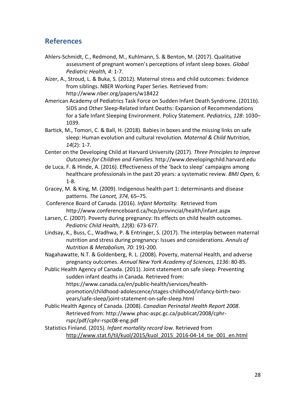## **References**

- Ahlers-Schmidt, C., Redmond, M., Kuhlmann, S. & Benton, M. (2017). Qualitative assessment of pregnant women's perceptions of infant sleep boxes. *Global Pediatric Health, 4*: 1-7.
- Aizer, A., Stroud, L. & Buka, S. (2012). Maternal stress and child outcomes: Evidence from siblings. NBER Working Paper Series. Retrieved from: http://www.nber.org/papers/w18422
- American Academy of Pediatrics Task Force on Sudden Infant Death Syndrome. (2011b). SIDS and Other Sleep-Related Infant Deaths: Expansion of Recommendations for a Safe Infant Sleeping Environment. Policy Statement. *Pediatrics, 128*: 1030– 1039.
- Bartick, M., Tomori, C. & Ball, H. (2018). Babies in boxes and the missing links on safe sleep: Human evolution and cultural revolution. *Maternal & Child Nutrition, 14*(2): 1-7.
- Center on the Developing Child at Harvard University (2017). *Three Principles to Improve Outcomes for Children and Families.* http://www.developingchild.harvard.edu
- de Luca, F. & Hinde, A. (2016). Effectiveness of the 'back to sleep' campaigns among healthcare professionals in the past 20 years: a systematic review. *BMJ Open,* 6: 1-8.
- Gracey, M. & King, M. (2009). Indigenous health part 1: determinants and disease patterns. *The Lancet, 374*, 65–75.
- Conference Board of Canada. (2016). *Infant Mortality.* Retrieved from http://www.conferenceboard.ca/hcp/provincial/health/infant.aspx
- Larsen, C. (2007). Poverty during pregnancy: Its effects on child health outcomes. *Pediatric Child Health, 12*(8): 673-677.
- Lindsay, K., Buss, C., Wadhwa, P. & Entringer, S. (2017). The interplay between maternal nutrition and stress during pregnancy: Issues and considerations. *Annuls of Nutrition & Metabolism, 70*: 191-200.
- Nagahawatte, N.T. & Goldenberg, R. L. (2008). Poverty, maternal Health, and adverse pregnancy outcomes. *Annual New York Academy of Sciences, 1136*: 80-85.
- Public Health Agency of Canada. (2011). Joint statement on safe sleep: Preventing sudden infant deaths in Canada. Retrieved from: https://www.canada.ca/en/public-health/services/healthpromotion/childhood-adolescence/stages-childhood/infancy-birth-twoyears/safe-sleep/joint-statement-on-safe-sleep.html
- Public Health Agency of Canada. (2008). *Canadian Perinatal Health Report 2008*. Retrieved from: http://www.phac-aspc.gc.ca/publicat/2008/cphrrspc/pdf/cphr-rspc08-eng.pdf
- Statistics Finland. (2015). *Infant mortality record low*. Retrieved from http://www.stat.fi/til/kuol/2015/kuol\_2015\_2016-04-14\_tie\_001\_en.html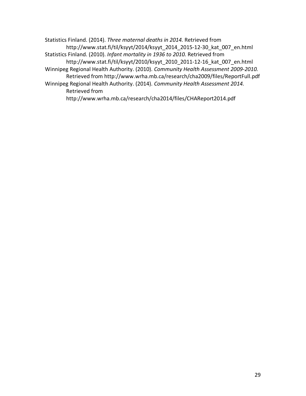Statistics Finland. (2014). *Three maternal deaths in 2014.* Retrieved from http://www.stat.fi/til/ksyyt/2014/ksyyt\_2014\_2015-12-30\_kat\_007\_en.html Statistics Finland. (2010). *Infant mortality in 1936 to 2010.* Retrieved from http://www.stat.fi/til/ksyyt/2010/ksyyt\_2010\_2011-12-16\_kat\_007\_en.html Winnipeg Regional Health Authority. (2010). *Community Health Assessment 2009-2010.* Retrieved from http://www.wrha.mb.ca/research/cha2009/files/ReportFull.pdf Winnipeg Regional Health Authority. (2014). *Community Health Assessment 2014.*  Retrieved from http://www.wrha.mb.ca/research/cha2014/files/CHAReport2014.pdf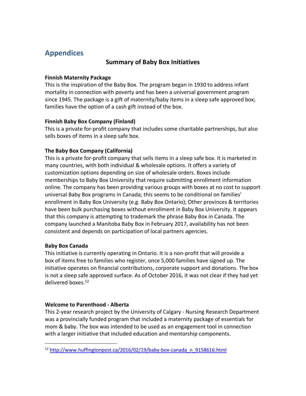# **Appendices**

## **Summary of Baby Box Initiatives**

#### **Finnish Maternity Package**

This is the inspiration of the Baby Box. The program began in 1930 to address infant mortality in connection with poverty and has been a universal government program since 1945. The package is a gift of maternity/baby items in a sleep safe approved box; families have the option of a cash gift instead of the box.

## **Finnish Baby Box Company (Finland)**

This is a private for-profit company that includes some charitable partnerships, but also sells boxes of items in a sleep safe box.

## **The Baby Box Company (California)**

This is a private for-profit company that sells items in a sleep safe box. It is marketed in many countries, with both individual & wholesale options. It offers a variety of customization options depending on size of wholesale orders. Boxes include memberships to Baby Box University that require submitting enrollment information online. The company has been providing various groups with boxes at no cost to support universal Baby Box programs in Canada; this seems to be conditional on families' enrollment in Baby Box University (e.g. Baby Box Ontario); Other provinces & territories have been bulk purchasing boxes without enrollment in Baby Box University. It appears that this company is attempting to trademark the phrase Baby Box in Canada. The company launched a Manitoba Baby Box in February 2017, availability has not been consistent and depends on participation of local partners agencies.

## **Baby Box Canada**

This initiative is currently operating in Ontario. It is a non-profit that will provide a box of items free to families who register, once 5,000 families have signed up. The initiative operates on financial contributions, corporate support and donations. The box is not a sleep safe approved surface. As of October 2016, it was not clear if they had yet delivered boxes. 12

## **Welcome to Parenthood - Alberta**

This 2-year research project by the University of Calgary - Nursing Research Department was a provincially funded program that included a maternity package of essentials for mom & baby. The box was intended to be used as an engagement tool in connection with a larger initiative that included education and mentorship components.

 <sup>12</sup> http://www.huffingtonpost.ca/2016/02/19/baby-box-canada\_n\_9158616.html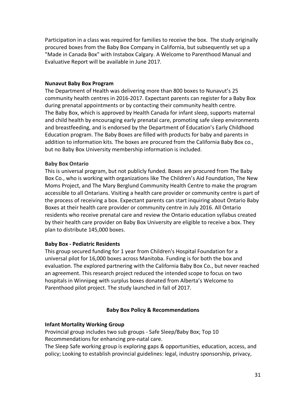Participation in a class was required for families to receive the box. The study originally procured boxes from the Baby Box Company in California, but subsequently set up a "Made in Canada Box" with Instabox Calgary. A Welcome to Parenthood Manual and Evaluative Report will be available in June 2017.

#### **Nunavut Baby Box Program**

The Department of Health was delivering more than 800 boxes to Nunavut's 25 community health centres in 2016-2017. Expectant parents can register for a Baby Box during prenatal appointments or by contacting their community health centre. The Baby Box, which is approved by Health Canada for infant sleep, supports maternal and child health by encouraging early prenatal care, promoting safe sleep environments and breastfeeding, and is endorsed by the Department of Education's Early Childhood Education program. The Baby Boxes are filled with products for baby and parents in addition to information kits. The boxes are procured from the California Baby Box co., but no Baby Box University membership information is included.

#### **Baby Box Ontario**

This is universal program, but not publicly funded. Boxes are procured from The Baby Box Co., who is working with organizations like The Children's Aid Foundation, The New Moms Project, and The Mary Berglund Community Health Centre to make the program accessible to all Ontarians. Visiting a health care provider or community centre is part of the process of receiving a box. Expectant parents can start inquiring about Ontario Baby Boxes at their health care provider or community centre in July 2016. All Ontario residents who receive prenatal care and review the Ontario education syllabus created by their health care provider on Baby Box University are eligible to receive a box. They plan to distribute 145,000 boxes.

#### **Baby Box - Pediatric Residents**

This group secured funding for 1 year from Children's Hospital Foundation for a universal pilot for 16,000 boxes across Manitoba. Funding is for both the box and evaluation. The explored partnering with the California Baby Box Co., but never reached an agreement. This research project reduced the intended scope to focus on two hospitals in Winnipeg with surplus boxes donated from Alberta's Welcome to Parenthood pilot project. The study launched in fall of 2017.

## **Baby Box Policy & Recommendations**

#### **Infant Mortality Working Group**

Provincial group includes two sub groups - Safe Sleep/Baby Box; Top 10 Recommendations for enhancing pre-natal care.

The Sleep Safe working group is exploring gaps & opportunities, education, access, and policy; Looking to establish provincial guidelines: legal, industry sponsorship, privacy,